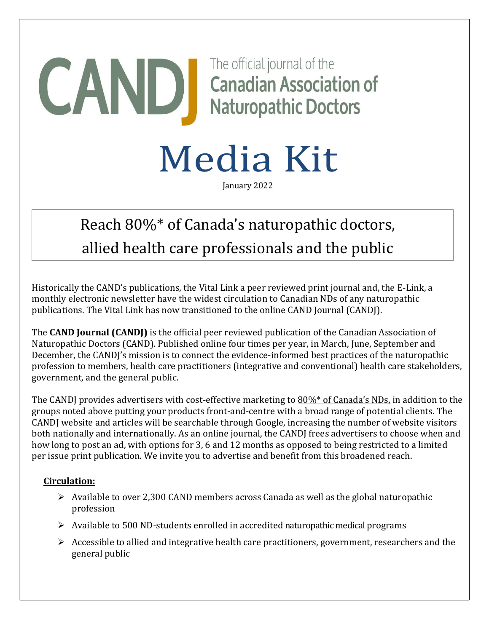## The official journal of the **CAND** Resorticial journal of the Media Kit

January 2022

### Reach 80%\* of Canada's naturopathic doctors, allied health care professionals and the public

Historically the CAND's publications, the Vital Link a peer reviewed print journal and, the E-Link, a monthly electronic newsletter have the widest circulation to Canadian NDs of any naturopathic publications. The Vital Link has now transitioned to the online CAND Journal (CANDJ).

The **CAND Journal (CANDJ)** is the official peer reviewed publication of the Canadian Association of Naturopathic Doctors (CAND). Published online four times per year, in March, June, September and December, the CANDJ's mission is to connect the evidence-informed best practices of the naturopathic profession to members, health care practitioners (integrative and conventional) health care stakeholders, government, and the general public.

The CANDJ provides advertisers with cost-effective marketing to 80%\* of Canada's NDs, in addition to the groups noted above putting your products front-and-centre with a broad range of potential clients. The CANDJ website and articles will be searchable through Google, increasing the number of website visitors both nationally and internationally. As an online journal, the CANDJ frees advertisers to choose when and how long to post an ad, with options for 3, 6 and 12 months as opposed to being restricted to a limited per issue print publication. We invite you to advertise and benefit from this broadened reach.

#### **Circulation:**

- $\triangleright$  Available to over 2,300 CAND members across Canada as well as the global naturopathic profession
- $\triangleright$  Available to 500 ND-students enrolled in accredited naturopathic medical programs
- $\triangleright$  Accessible to allied and integrative health care practitioners, government, researchers and the general public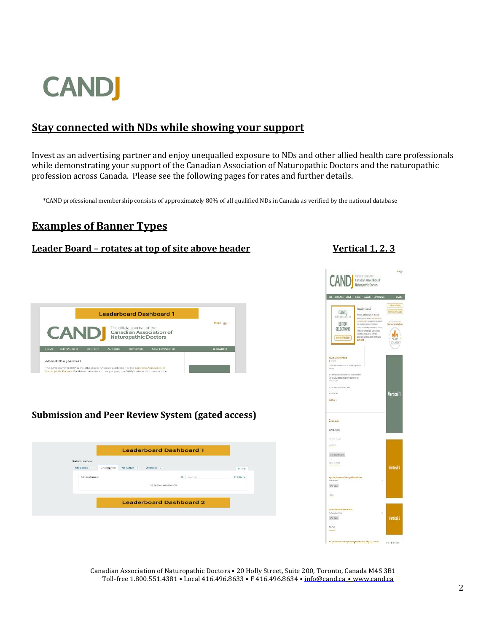

#### **Stay connected with NDs while showing your support**

Invest as an advertising partner and enjoy unequalled exposure to NDs and other allied health care professionals while demonstrating your support of the Canadian Association of Naturopathic Doctors and the naturopathic profession across Canada. Please see the following pages for rates and further details.

\*CAND professional membership consists of approximately 80% of all qualified NDs in Canada as verified by the national database

#### **Examples of Banner Types**

#### **Leader Board – rotates at top of site above header Vertical 1, 2, 3**



#### **Submission and Peer Review System (gated access)**



| Cand                                                                                                                                                                                                                                                         | The official journal of the<br>Canadian Association of<br>Naturopathic Doctors                                                                                                                                                                                                                                            |                                                                                                 |
|--------------------------------------------------------------------------------------------------------------------------------------------------------------------------------------------------------------------------------------------------------------|---------------------------------------------------------------------------------------------------------------------------------------------------------------------------------------------------------------------------------------------------------------------------------------------------------------------------|-------------------------------------------------------------------------------------------------|
| KING ALBUMO - COMTAPT - ALBUMO - PELIDICIES -                                                                                                                                                                                                                | ливанию.                                                                                                                                                                                                                                                                                                                  | q muz-                                                                                          |
| CAND)<br>initisyst pleadour<br>EDITOR<br>SELECTIONS<br>Wew Articles Here                                                                                                                                                                                     | About the Justical<br>introducional policiente e la con-<br>With Abbase of the resolution of<br>HEZDITH JOSIT HANKSHID TH MAJOR<br>AT SEPPLATION OF WHEN<br>acido ministrativamentos anos<br>relative a minori, last an sections<br>comboledrapely, self-ax<br>salarolist, governme, and hy generical to<br><b>LANDRY</b> | Sánew (AVI)<br>Marrow arriv (AND)<br><b>State</b><br>hissanlain Samla.<br>Aisti den aanta Savan |
| NACION TO PHOTOGENEEL &<br>thanks.<br>is come announced operations operate.<br>series.<br>to verministera anciente si concervamente<br>отных додной исплетениях объясного их<br><b>CHILDFORM</b><br>to the people work de late to and<br>Wrannian<br>KANSA ) |                                                                                                                                                                                                                                                                                                                           | <b>Vertical 1</b>                                                                               |
| Comeri svor<br>75.27.0.10039                                                                                                                                                                                                                                 |                                                                                                                                                                                                                                                                                                                           |                                                                                                 |
| www.com                                                                                                                                                                                                                                                      |                                                                                                                                                                                                                                                                                                                           |                                                                                                 |
| 101185.6                                                                                                                                                                                                                                                     |                                                                                                                                                                                                                                                                                                                           |                                                                                                 |
| 43417610931100                                                                                                                                                                                                                                               |                                                                                                                                                                                                                                                                                                                           |                                                                                                 |
| 20TOFALAOTES                                                                                                                                                                                                                                                 |                                                                                                                                                                                                                                                                                                                           | <b>Vertical 2</b>                                                                               |
| Arger, Onel, Opressedes and To-brakegy in Malurapolitic Cars                                                                                                                                                                                                 |                                                                                                                                                                                                                                                                                                                           |                                                                                                 |
| ories fuer<br>ara usa:                                                                                                                                                                                                                                       |                                                                                                                                                                                                                                                                                                                           |                                                                                                 |
| prote                                                                                                                                                                                                                                                        |                                                                                                                                                                                                                                                                                                                           |                                                                                                 |
| VERSION COUNTINUES ARE AN ARTIST<br><b>Stanfordes Sheav State</b><br>árii ouis<br>tourns.                                                                                                                                                                    | $\overline{\mathbf{x}}$                                                                                                                                                                                                                                                                                                   | <b>Vertical 3</b>                                                                               |
| Pasto is Transister to Nonyelts Balegatian Photos Linky Transistered                                                                                                                                                                                         |                                                                                                                                                                                                                                                                                                                           |                                                                                                 |

Canadian Association of Naturopathic Doctors • 20 Holly Street, Suite 200, Toronto, Canada M4S 3B1 Toll-free 1.800.551.4381 • Local 416.496.8633 • F 416.496.8634 • info@cand.ca • www.cand.ca

 $\log \frac{1}{2}$  .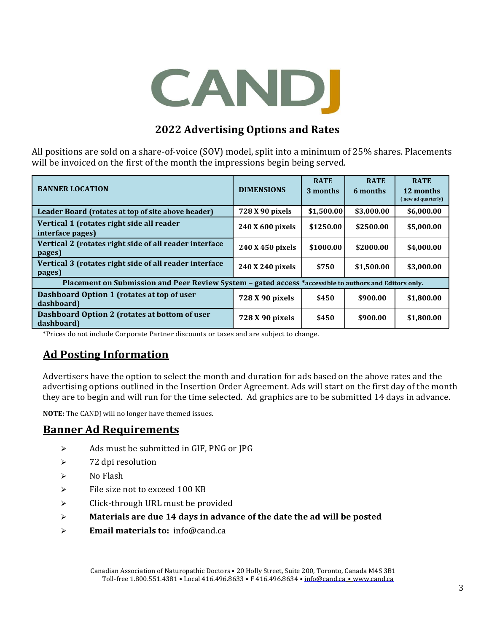# CAND

#### **2022 Advertising Options and Rates**

All positions are sold on a share-of-voice (SOV) model, split into a minimum of 25% shares. Placements will be invoiced on the first of the month the impressions begin being served.

| <b>BANNER LOCATION</b>                                                                                 | <b>DIMENSIONS</b> | <b>RATE</b><br>3 months | <b>RATE</b><br>6 months | <b>RATE</b><br>12 months<br>(new ad quarterly) |  |  |  |
|--------------------------------------------------------------------------------------------------------|-------------------|-------------------------|-------------------------|------------------------------------------------|--|--|--|
| Leader Board (rotates at top of site above header)                                                     | 728 X 90 pixels   | \$1,500.00              | \$3,000.00              | \$6,000.00                                     |  |  |  |
| Vertical 1 (rotates right side all reader<br>interface pages)                                          | 240 X 600 pixels  | \$1250.00               | \$2500.00               | \$5,000.00                                     |  |  |  |
| Vertical 2 (rotates right side of all reader interface<br>pages)                                       | 240 X 450 pixels  | \$1000.00               | \$2000.00               | \$4,000.00                                     |  |  |  |
| Vertical 3 (rotates right side of all reader interface<br>pages)                                       | 240 X 240 pixels  | \$750                   | \$1,500.00              | \$3,000.00                                     |  |  |  |
| Placement on Submission and Peer Review System - gated access *accessible to authors and Editors only. |                   |                         |                         |                                                |  |  |  |
| Dashboard Option 1 (rotates at top of user<br>dashboard)                                               | 728 X 90 pixels   | \$450                   | \$900.00                | \$1,800.00                                     |  |  |  |
| Dashboard Option 2 (rotates at bottom of user<br>dashboard)                                            | 728 X 90 pixels   | \$450                   | \$900.00                | \$1,800.00                                     |  |  |  |

\*Prices do not include Corporate Partner discounts or taxes and are subject to change.

#### **Ad Posting Information**

Advertisers have the option to select the month and duration for ads based on the above rates and the advertising options outlined in the Insertion Order Agreement. Ads will start on the first day of the month they are to begin and will run for the time selected. Ad graphics are to be submitted 14 days in advance.

**NOTE:** The CANDJ will no longer have themed issues.

#### **Banner Ad Requirements**

- $\triangleright$  Ads must be submitted in GIF, PNG or JPG
- $\geq$  72 dpi resolution
- $\triangleright$  No Flash
- $\triangleright$  File size not to exceed 100 KB
- > Click-through URL must be provided
- **Materials are due 14 days in advance of the date the ad will be posted**
- **Email materials to:** info@cand.ca